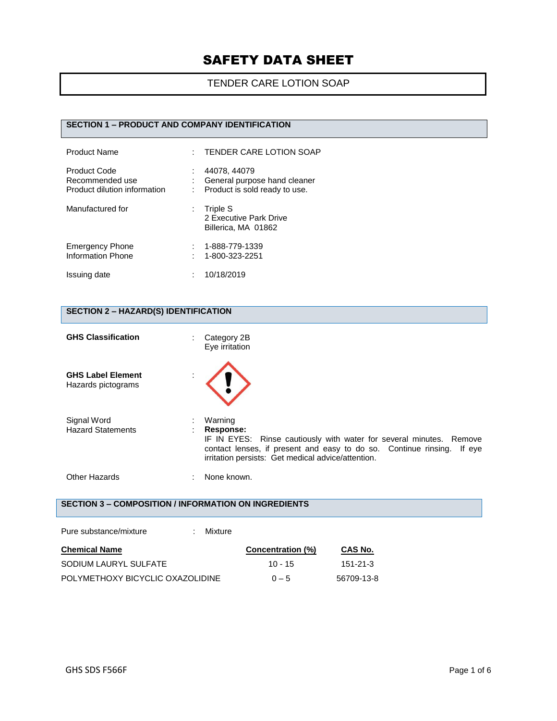### TENDER CARE LOTION SOAP

#### **SECTION 1 – PRODUCT AND COMPANY IDENTIFICATION**

| <b>Product Name</b>                                                    | t. | <b>TENDER CARE LOTION SOAP</b>                                                |
|------------------------------------------------------------------------|----|-------------------------------------------------------------------------------|
| <b>Product Code</b><br>Recommended use<br>Product dilution information |    | 44078, 44079<br>General purpose hand cleaner<br>Product is sold ready to use. |
| Manufactured for                                                       | ÷  | Triple S<br>2 Executive Park Drive<br>Billerica, MA 01862                     |
| <b>Emergency Phone</b><br>Information Phone                            |    | 1-888-779-1339<br>1-800-323-2251                                              |
| Issuing date                                                           |    | 10/18/2019                                                                    |

### **SECTION 2 – HAZARD(S) IDENTIFICATION**

| <b>GHS Classification</b>                                   |   | Category 2B<br>Eye irritation                                                                                                                                                                                                  |
|-------------------------------------------------------------|---|--------------------------------------------------------------------------------------------------------------------------------------------------------------------------------------------------------------------------------|
| <b>GHS Label Element</b><br>Hazards pictograms              |   |                                                                                                                                                                                                                                |
| Signal Word<br><b>Hazard Statements</b>                     | ÷ | Warning<br>Response:<br>IF IN EYES: Rinse cautiously with water for several minutes. Remove<br>contact lenses, if present and easy to do so. Continue rinsing.<br>If eye<br>irritation persists: Get medical advice/attention. |
| Other Hazards                                               |   | None known.                                                                                                                                                                                                                    |
| <b>SECTION 3 – COMPOSITION / INFORMATION ON INGREDIENTS</b> |   |                                                                                                                                                                                                                                |
| Pure substance/mixture                                      |   | Mixture                                                                                                                                                                                                                        |

| <b>Chemical Name</b>             | <b>Concentration (%)</b> | CAS No.    |
|----------------------------------|--------------------------|------------|
| SODIUM LAURYL SULFATE            | $10 - 15$                | 151-21-3   |
| POLYMETHOXY BICYCLIC OXAZOLIDINE | $0 - 5$                  | 56709-13-8 |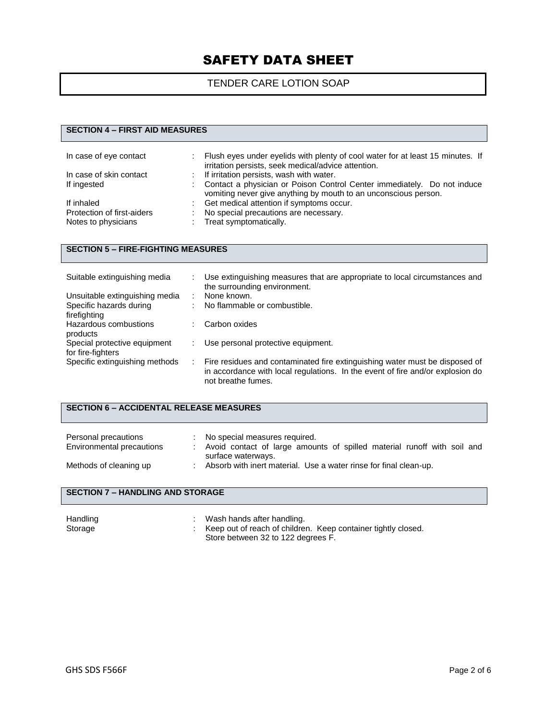### TENDER CARE LOTION SOAP

#### **SECTION 4 – FIRST AID MEASURES**

| In case of eye contact     |    | Flush eyes under eyelids with plenty of cool water for at least 15 minutes. If<br>irritation persists, seek medical/advice attention.      |
|----------------------------|----|--------------------------------------------------------------------------------------------------------------------------------------------|
| In case of skin contact    | t. | If irritation persists, wash with water.                                                                                                   |
| If ingested                |    | Contact a physician or Poison Control Center immediately. Do not induce<br>vomiting never give anything by mouth to an unconscious person. |
| If inhaled                 |    | Get medical attention if symptoms occur.                                                                                                   |
| Protection of first-aiders |    | No special precautions are necessary.                                                                                                      |
| Notes to physicians        |    | : Treat symptomatically.                                                                                                                   |

#### **SECTION 5 – FIRE-FIGHTING MEASURES**

| Suitable extinguishing media   | Use extinguishing measures that are appropriate to local circumstances and<br>the surrounding environment.                                                                          |
|--------------------------------|-------------------------------------------------------------------------------------------------------------------------------------------------------------------------------------|
| Unsuitable extinguishing media | None known.                                                                                                                                                                         |
| Specific hazards during        | No flammable or combustible.                                                                                                                                                        |
| firefighting                   |                                                                                                                                                                                     |
| Hazardous combustions          | Carbon oxides                                                                                                                                                                       |
| products                       |                                                                                                                                                                                     |
| Special protective equipment   | Use personal protective equipment.                                                                                                                                                  |
| for fire-fighters              |                                                                                                                                                                                     |
| Specific extinguishing methods | Fire residues and contaminated fire extinguishing water must be disposed of<br>in accordance with local regulations. In the event of fire and/or explosion do<br>not breathe fumes. |

#### **SECTION 6 – ACCIDENTAL RELEASE MEASURES**

| Personal precautions<br>Environmental precautions | No special measures required.<br>Avoid contact of large amounts of spilled material runoff with soil and |
|---------------------------------------------------|----------------------------------------------------------------------------------------------------------|
| Methods of cleaning up                            | surface waterways.<br>Absorb with inert material. Use a water rinse for final clean-up.                  |

#### **SECTION 7 – HANDLING AND STORAGE**

| Handling<br>Storage | Wash hands after handling.<br>: Keep out of reach of children. Keep container tightly closed. |
|---------------------|-----------------------------------------------------------------------------------------------|
|                     | Store between 32 to 122 degrees F.                                                            |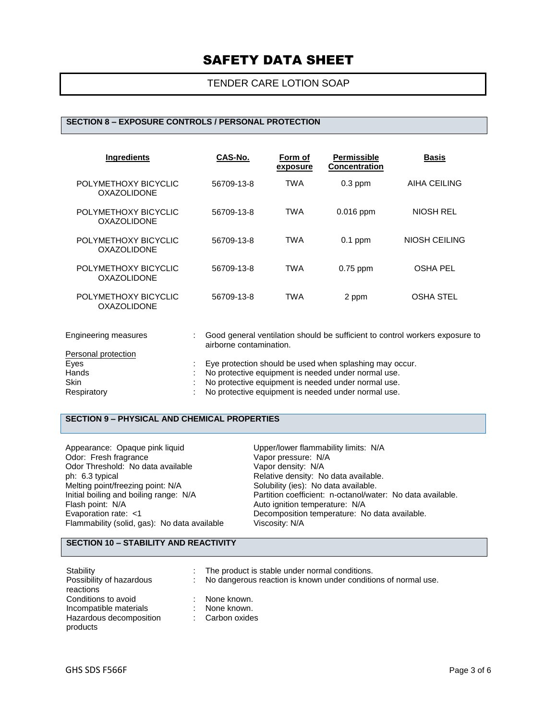#### TENDER CARE LOTION SOAP

#### **SECTION 8 – EXPOSURE CONTROLS / PERSONAL PROTECTION**

| <b>Ingredients</b>                         | CAS-No.    | Form of<br>exposure | <b>Permissible</b><br><b>Concentration</b> | <b>Basis</b>     |
|--------------------------------------------|------------|---------------------|--------------------------------------------|------------------|
| POLYMETHOXY BICYCLIC<br>OXAZOLIDONE        | 56709-13-8 | <b>TWA</b>          | $0.3$ ppm                                  | AIHA CEILING     |
| POLYMETHOXY BICYCLIC<br>OXAZOLIDONE        | 56709-13-8 | TWA                 | $0.016$ ppm                                | NIOSH REL        |
| POLYMETHOXY BICYCLIC<br><b>OXAZOLIDONE</b> | 56709-13-8 | <b>TWA</b>          | $0.1$ ppm                                  | NIOSH CEILING    |
| POLYMETHOXY BICYCLIC<br>OXAZOLIDONE        | 56709-13-8 | TWA                 | $0.75$ ppm                                 | OSHA PEL         |
| POLYMETHOXY BICYCLIC<br><b>OXAZOLIDONE</b> | 56709-13-8 | TWA                 | 2 ppm                                      | <b>OSHA STEL</b> |

| Engineering measures | Good general ventilation should be sufficient to control workers exposure to<br>airborne contamination. |
|----------------------|---------------------------------------------------------------------------------------------------------|
| Personal protection  |                                                                                                         |
| Eyes                 | Eye protection should be used when splashing may occur.                                                 |
| Hands                | : No protective equipment is needed under normal use.                                                   |
| <b>Skin</b>          | No protective equipment is needed under normal use.                                                     |
| Respiratory          | No protective equipment is needed under normal use.                                                     |

### **SECTION 9 – PHYSICAL AND CHEMICAL PROPERTIES**

| Appearance: Opaque pink liquid               | Upper/lower flammability limits: N/A                       |
|----------------------------------------------|------------------------------------------------------------|
| Odor: Fresh fragrance                        | Vapor pressure: N/A                                        |
| Odor Threshold: No data available            | Vapor density: N/A                                         |
| ph: 6.3 typical                              | Relative density: No data available.                       |
| Melting point/freezing point: N/A            | Solubility (ies): No data available.                       |
| Initial boiling and boiling range: N/A       | Partition coefficient: n-octanol/water: No data available. |
| Flash point: N/A                             | Auto ignition temperature: N/A                             |
| Evaporation rate: <1                         | Decomposition temperature: No data available.              |
| Flammability (solid, gas): No data available | Viscosity: N/A                                             |

#### **SECTION 10 – STABILITY AND REACTIVITY**

| Stability<br>Possibility of hazardous<br>reactions | The product is stable under normal conditions.<br>: No dangerous reaction is known under conditions of normal use. |
|----------------------------------------------------|--------------------------------------------------------------------------------------------------------------------|
| Conditions to avoid<br>Incompatible materials      | None known.<br>None known.                                                                                         |
| Hazardous decomposition<br>products                | : Carbon oxides                                                                                                    |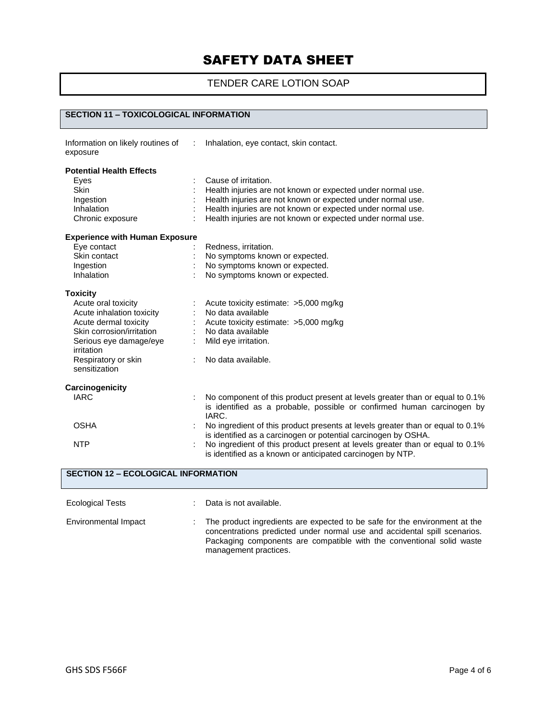## TENDER CARE LOTION SOAP

#### **SECTION 11 – TOXICOLOGICAL INFORMATION**

| Information on likely routines of<br>exposure |    | Inhalation, eye contact, skin contact.                                                                                                                          |
|-----------------------------------------------|----|-----------------------------------------------------------------------------------------------------------------------------------------------------------------|
| <b>Potential Health Effects</b>               |    |                                                                                                                                                                 |
| Eyes                                          |    | Cause of irritation.                                                                                                                                            |
| <b>Skin</b>                                   |    | Health injuries are not known or expected under normal use.                                                                                                     |
| Ingestion                                     |    | Health injuries are not known or expected under normal use.                                                                                                     |
| Inhalation                                    |    | Health injuries are not known or expected under normal use.                                                                                                     |
| Chronic exposure                              |    | Health injuries are not known or expected under normal use.                                                                                                     |
| <b>Experience with Human Exposure</b>         |    |                                                                                                                                                                 |
| Eye contact                                   |    | Redness, irritation.                                                                                                                                            |
| Skin contact                                  |    | No symptoms known or expected.                                                                                                                                  |
| Ingestion                                     |    | No symptoms known or expected.                                                                                                                                  |
| Inhalation                                    |    | No symptoms known or expected.                                                                                                                                  |
| <b>Toxicity</b>                               |    |                                                                                                                                                                 |
| Acute oral toxicity                           |    | Acute toxicity estimate: >5,000 mg/kg                                                                                                                           |
| Acute inhalation toxicity                     |    | No data available                                                                                                                                               |
| Acute dermal toxicity                         |    | Acute toxicity estimate: >5,000 mg/kg                                                                                                                           |
| Skin corrosion/irritation                     |    | No data available                                                                                                                                               |
| Serious eye damage/eye<br>irritation          |    | Mild eye irritation.                                                                                                                                            |
| Respiratory or skin<br>sensitization          | ÷. | No data available.                                                                                                                                              |
| Carcinogenicity                               |    |                                                                                                                                                                 |
| <b>IARC</b>                                   |    | No component of this product present at levels greater than or equal to 0.1%<br>is identified as a probable, possible or confirmed human carcinogen by<br>IARC. |
| <b>OSHA</b>                                   |    | No ingredient of this product presents at levels greater than or equal to 0.1%<br>is identified as a carcinogen or potential carcinogen by OSHA.                |
| <b>NTP</b>                                    |    | No ingredient of this product present at levels greater than or equal to 0.1%<br>is identified as a known or anticipated carcinogen by NTP.                     |

| <b>SECTION 12 - ECOLOGICAL INFORMATION</b> |    |                                                                                                                                                                                                                                                           |  |  |  |  |
|--------------------------------------------|----|-----------------------------------------------------------------------------------------------------------------------------------------------------------------------------------------------------------------------------------------------------------|--|--|--|--|
| <b>Ecological Tests</b>                    |    | Data is not available.                                                                                                                                                                                                                                    |  |  |  |  |
| Environmental Impact                       | ÷. | The product ingredients are expected to be safe for the environment at the<br>concentrations predicted under normal use and accidental spill scenarios.<br>Packaging components are compatible with the conventional solid waste<br>management practices. |  |  |  |  |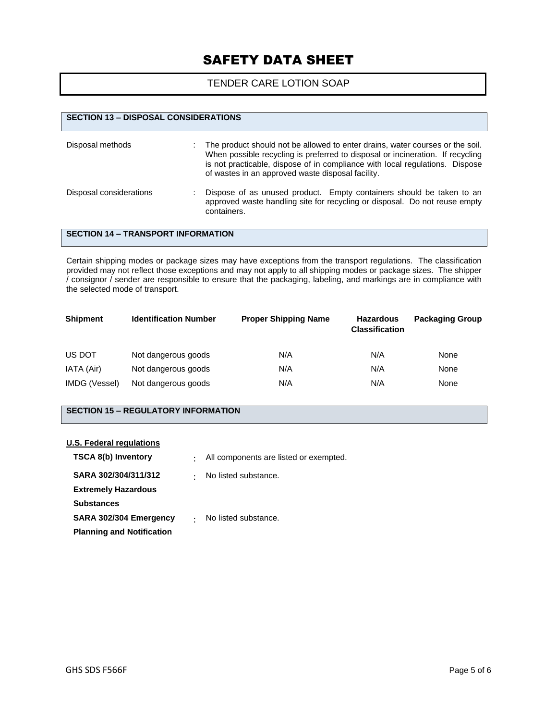#### TENDER CARE LOTION SOAP

## **SECTION 13 – DISPOSAL CONSIDERATIONS** Disposal methods : The product should not be allowed to enter drains, water courses or the soil. When possible recycling is preferred to disposal or incineration. If recycling is not practicable, dispose of in compliance with local regulations. Dispose of wastes in an approved waste disposal facility. Disposal considerations : Dispose of as unused product. Empty containers should be taken to an approved waste handling site for recycling or disposal. Do not reuse empty containers.

#### **SECTION 14 – TRANSPORT INFORMATION**

Certain shipping modes or package sizes may have exceptions from the transport regulations. The classification provided may not reflect those exceptions and may not apply to all shipping modes or package sizes. The shipper / consignor / sender are responsible to ensure that the packaging, labeling, and markings are in compliance with the selected mode of transport.

| <b>Shipment</b> | <b>Identification Number</b> | <b>Proper Shipping Name</b> | <b>Hazardous</b><br><b>Classification</b> | <b>Packaging Group</b> |
|-----------------|------------------------------|-----------------------------|-------------------------------------------|------------------------|
| US DOT          | Not dangerous goods          | N/A                         | N/A                                       | None                   |
| IATA (Air)      | Not dangerous goods          | N/A                         | N/A                                       | None                   |
| IMDG (Vessel)   | Not dangerous goods          | N/A                         | N/A                                       | None                   |

#### **SECTION 15 – REGULATORY INFORMATION**

#### **U.S. Federal regulations**

| <b>TSCA 8(b) Inventory</b>       | $\bullet$ | All components are listed or exempted. |
|----------------------------------|-----------|----------------------------------------|
| SARA 302/304/311/312             | $\bullet$ | No listed substance.                   |
| <b>Extremely Hazardous</b>       |           |                                        |
| <b>Substances</b>                |           |                                        |
| SARA 302/304 Emergency           |           | No listed substance.                   |
| <b>Planning and Notification</b> |           |                                        |